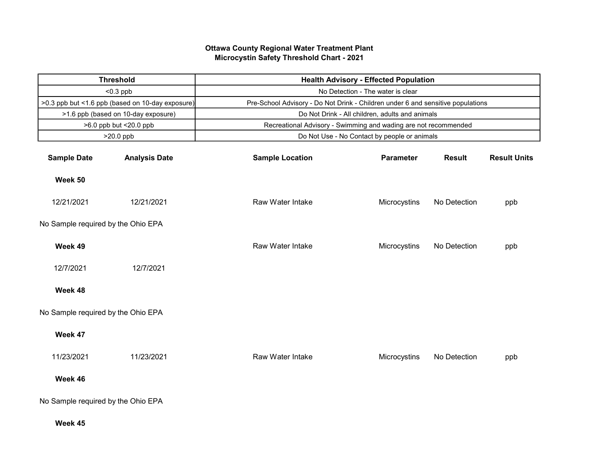## Ottawa County Regional Water Treatment Plant Microcystin Safety Threshold Chart - 2021

| <b>Threshold</b>                                 |                                     | <b>Health Advisory - Effected Population</b>                                    |                  |               |                     |  |  |  |
|--------------------------------------------------|-------------------------------------|---------------------------------------------------------------------------------|------------------|---------------|---------------------|--|--|--|
| $< 0.3$ ppb                                      |                                     | No Detection - The water is clear                                               |                  |               |                     |  |  |  |
| >0.3 ppb but <1.6 ppb (based on 10-day exposure) |                                     | Pre-School Advisory - Do Not Drink - Children under 6 and sensitive populations |                  |               |                     |  |  |  |
|                                                  | >1.6 ppb (based on 10-day exposure) | Do Not Drink - All children, adults and animals                                 |                  |               |                     |  |  |  |
|                                                  | >6.0 ppb but <20.0 ppb              | Recreational Advisory - Swimming and wading are not recommended                 |                  |               |                     |  |  |  |
|                                                  | $>20.0$ ppb                         | Do Not Use - No Contact by people or animals                                    |                  |               |                     |  |  |  |
| <b>Sample Date</b>                               | <b>Analysis Date</b>                | <b>Sample Location</b>                                                          | <b>Parameter</b> | <b>Result</b> | <b>Result Units</b> |  |  |  |
| Week 50                                          |                                     |                                                                                 |                  |               |                     |  |  |  |
| 12/21/2021                                       | 12/21/2021                          | Raw Water Intake                                                                | Microcystins     | No Detection  | ppb                 |  |  |  |
| No Sample required by the Ohio EPA               |                                     |                                                                                 |                  |               |                     |  |  |  |
| Week 49                                          |                                     | Raw Water Intake                                                                | Microcystins     | No Detection  | ppb                 |  |  |  |
| 12/7/2021                                        | 12/7/2021                           |                                                                                 |                  |               |                     |  |  |  |
| Week 48                                          |                                     |                                                                                 |                  |               |                     |  |  |  |
| No Sample required by the Ohio EPA               |                                     |                                                                                 |                  |               |                     |  |  |  |
| Week 47                                          |                                     |                                                                                 |                  |               |                     |  |  |  |
| 11/23/2021                                       | 11/23/2021                          | Raw Water Intake                                                                | Microcystins     | No Detection  | ppb                 |  |  |  |
| Week 46                                          |                                     |                                                                                 |                  |               |                     |  |  |  |
| No Sample required by the Ohio EPA               |                                     |                                                                                 |                  |               |                     |  |  |  |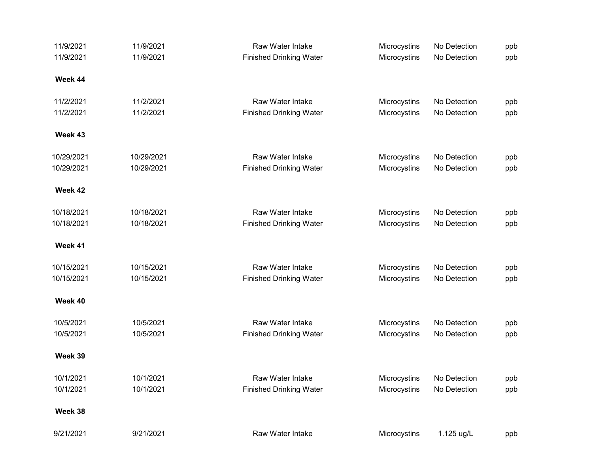| 11/9/2021  | 11/9/2021  | Raw Water Intake               | Microcystins | No Detection | ppb |
|------------|------------|--------------------------------|--------------|--------------|-----|
| 11/9/2021  | 11/9/2021  | <b>Finished Drinking Water</b> | Microcystins | No Detection | ppb |
| Week 44    |            |                                |              |              |     |
| 11/2/2021  | 11/2/2021  | Raw Water Intake               | Microcystins | No Detection | ppb |
| 11/2/2021  | 11/2/2021  | <b>Finished Drinking Water</b> | Microcystins | No Detection | ppb |
| Week 43    |            |                                |              |              |     |
| 10/29/2021 | 10/29/2021 | Raw Water Intake               | Microcystins | No Detection | ppb |
| 10/29/2021 | 10/29/2021 | <b>Finished Drinking Water</b> | Microcystins | No Detection | ppb |
| Week 42    |            |                                |              |              |     |
| 10/18/2021 | 10/18/2021 | Raw Water Intake               | Microcystins | No Detection | ppb |
| 10/18/2021 | 10/18/2021 | <b>Finished Drinking Water</b> | Microcystins | No Detection | ppb |
| Week 41    |            |                                |              |              |     |
| 10/15/2021 | 10/15/2021 | Raw Water Intake               | Microcystins | No Detection | ppb |
| 10/15/2021 | 10/15/2021 | <b>Finished Drinking Water</b> | Microcystins | No Detection | ppb |
| Week 40    |            |                                |              |              |     |
| 10/5/2021  | 10/5/2021  | Raw Water Intake               | Microcystins | No Detection | ppb |
| 10/5/2021  | 10/5/2021  | <b>Finished Drinking Water</b> | Microcystins | No Detection | ppb |
| Week 39    |            |                                |              |              |     |
| 10/1/2021  | 10/1/2021  | Raw Water Intake               | Microcystins | No Detection | ppb |
| 10/1/2021  | 10/1/2021  | <b>Finished Drinking Water</b> | Microcystins | No Detection | ppb |
| Week 38    |            |                                |              |              |     |
| 9/21/2021  | 9/21/2021  | Raw Water Intake               | Microcystins | 1.125 ug/L   | ppb |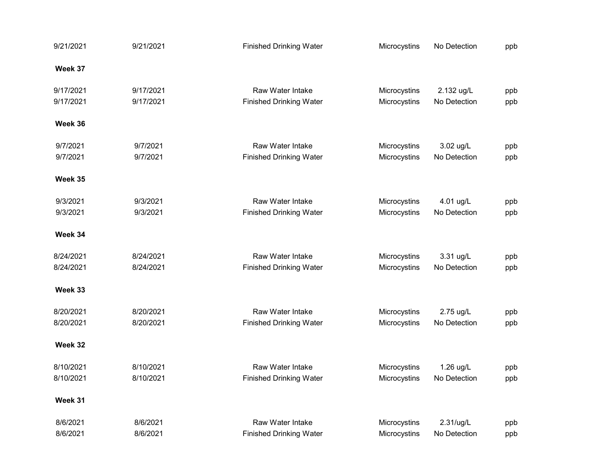| 9/21/2021 | 9/21/2021 | <b>Finished Drinking Water</b> | Microcystins | No Detection | ppb |
|-----------|-----------|--------------------------------|--------------|--------------|-----|
| Week 37   |           |                                |              |              |     |
| 9/17/2021 | 9/17/2021 | Raw Water Intake               | Microcystins | 2.132 ug/L   | ppb |
| 9/17/2021 | 9/17/2021 | <b>Finished Drinking Water</b> | Microcystins | No Detection | ppb |
| Week 36   |           |                                |              |              |     |
| 9/7/2021  | 9/7/2021  | <b>Raw Water Intake</b>        | Microcystins | 3.02 ug/L    | ppb |
| 9/7/2021  | 9/7/2021  | <b>Finished Drinking Water</b> | Microcystins | No Detection | ppb |
| Week 35   |           |                                |              |              |     |
| 9/3/2021  | 9/3/2021  | <b>Raw Water Intake</b>        | Microcystins | 4.01 ug/L    | ppb |
| 9/3/2021  | 9/3/2021  | <b>Finished Drinking Water</b> | Microcystins | No Detection | ppb |
| Week 34   |           |                                |              |              |     |
| 8/24/2021 | 8/24/2021 | Raw Water Intake               | Microcystins | 3.31 ug/L    | ppb |
| 8/24/2021 | 8/24/2021 | <b>Finished Drinking Water</b> | Microcystins | No Detection | ppb |
| Week 33   |           |                                |              |              |     |
| 8/20/2021 | 8/20/2021 | Raw Water Intake               | Microcystins | 2.75 ug/L    | ppb |
| 8/20/2021 | 8/20/2021 | <b>Finished Drinking Water</b> | Microcystins | No Detection | ppb |
| Week 32   |           |                                |              |              |     |
| 8/10/2021 | 8/10/2021 | <b>Raw Water Intake</b>        | Microcystins | 1.26 ug/L    | ppb |
| 8/10/2021 | 8/10/2021 | <b>Finished Drinking Water</b> | Microcystins | No Detection | ppb |
| Week 31   |           |                                |              |              |     |
| 8/6/2021  | 8/6/2021  | Raw Water Intake               | Microcystins | 2.31/ug/L    | ppb |
| 8/6/2021  | 8/6/2021  | <b>Finished Drinking Water</b> | Microcystins | No Detection | ppb |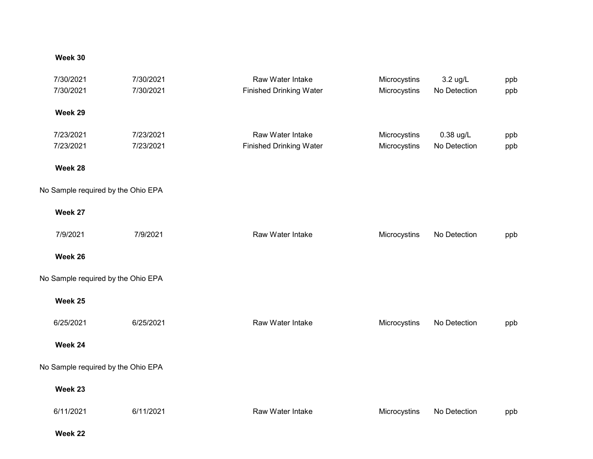## Week 30

| 7/30/2021                          | 7/30/2021 | Raw Water Intake               | Microcystins | 3.2 ug/L     | ppb |
|------------------------------------|-----------|--------------------------------|--------------|--------------|-----|
| 7/30/2021                          | 7/30/2021 | <b>Finished Drinking Water</b> | Microcystins | No Detection | ppb |
|                                    |           |                                |              |              |     |
| Week 29                            |           |                                |              |              |     |
| 7/23/2021                          | 7/23/2021 | Raw Water Intake               | Microcystins | 0.38 ug/L    | ppb |
| 7/23/2021                          | 7/23/2021 | <b>Finished Drinking Water</b> | Microcystins | No Detection | ppb |
|                                    |           |                                |              |              |     |
| Week 28                            |           |                                |              |              |     |
| No Sample required by the Ohio EPA |           |                                |              |              |     |
| Week 27                            |           |                                |              |              |     |
| 7/9/2021                           | 7/9/2021  | Raw Water Intake               | Microcystins | No Detection | ppb |
|                                    |           |                                |              |              |     |
| Week 26                            |           |                                |              |              |     |
| No Sample required by the Ohio EPA |           |                                |              |              |     |
| Week 25                            |           |                                |              |              |     |
|                                    |           |                                |              |              |     |
| 6/25/2021                          | 6/25/2021 | Raw Water Intake               | Microcystins | No Detection | ppb |
| Week 24                            |           |                                |              |              |     |
| No Sample required by the Ohio EPA |           |                                |              |              |     |
| Week 23                            |           |                                |              |              |     |
|                                    |           |                                |              |              |     |
| 6/11/2021                          | 6/11/2021 | Raw Water Intake               | Microcystins | No Detection | ppb |
|                                    |           |                                |              |              |     |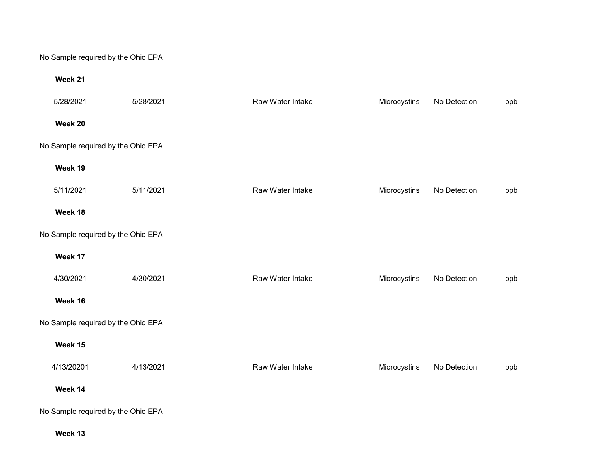No Sample required by the Ohio EPA

## Week 21

| 5/28/2021  | 5/28/2021                          | Raw Water Intake | Microcystins | No Detection | ppb |
|------------|------------------------------------|------------------|--------------|--------------|-----|
| Week 20    |                                    |                  |              |              |     |
|            | No Sample required by the Ohio EPA |                  |              |              |     |
| Week 19    |                                    |                  |              |              |     |
| 5/11/2021  | 5/11/2021                          | Raw Water Intake | Microcystins | No Detection | ppb |
| Week 18    |                                    |                  |              |              |     |
|            | No Sample required by the Ohio EPA |                  |              |              |     |
| Week 17    |                                    |                  |              |              |     |
| 4/30/2021  | 4/30/2021                          | Raw Water Intake | Microcystins | No Detection | ppb |
| Week 16    |                                    |                  |              |              |     |
|            | No Sample required by the Ohio EPA |                  |              |              |     |
| Week 15    |                                    |                  |              |              |     |
| 4/13/20201 | 4/13/2021                          | Raw Water Intake | Microcystins | No Detection | ppb |
| Week 14    |                                    |                  |              |              |     |
|            | No Sample required by the Ohio EPA |                  |              |              |     |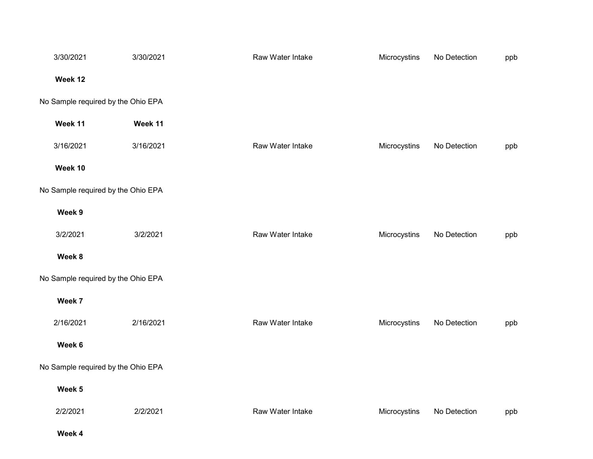| 3/30/2021                          | 3/30/2021 | Raw Water Intake | Microcystins | No Detection | ppb |
|------------------------------------|-----------|------------------|--------------|--------------|-----|
| Week 12                            |           |                  |              |              |     |
| No Sample required by the Ohio EPA |           |                  |              |              |     |
| Week 11                            | Week 11   |                  |              |              |     |
| 3/16/2021                          | 3/16/2021 | Raw Water Intake | Microcystins | No Detection | ppb |
| Week 10                            |           |                  |              |              |     |
| No Sample required by the Ohio EPA |           |                  |              |              |     |
| Week 9                             |           |                  |              |              |     |
| 3/2/2021                           | 3/2/2021  | Raw Water Intake | Microcystins | No Detection | ppb |
| Week 8                             |           |                  |              |              |     |
| No Sample required by the Ohio EPA |           |                  |              |              |     |
| Week 7                             |           |                  |              |              |     |
| 2/16/2021                          | 2/16/2021 | Raw Water Intake | Microcystins | No Detection | ppb |
| Week 6                             |           |                  |              |              |     |
| No Sample required by the Ohio EPA |           |                  |              |              |     |
| Week 5                             |           |                  |              |              |     |
| 2/2/2021                           | 2/2/2021  | Raw Water Intake | Microcystins | No Detection | ppb |
|                                    |           |                  |              |              |     |